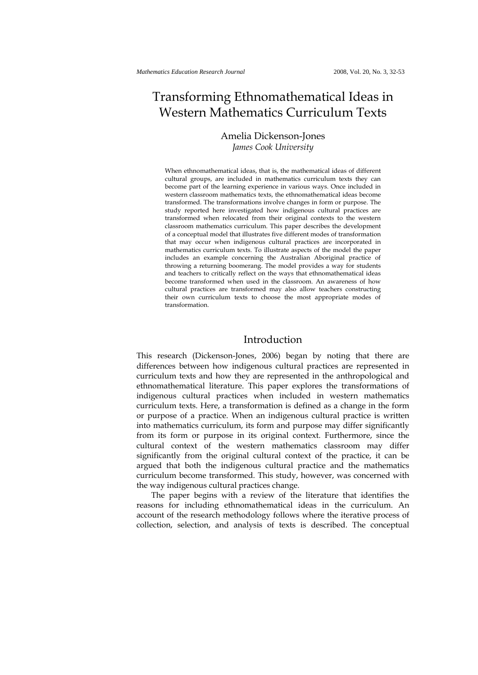# Transforming Ethnomathematical Ideas in Western Mathematics Curriculum Texts

## Amelia Dickenson-Jones *James Cook University*

When ethnomathematical ideas, that is, the mathematical ideas of different cultural groups, are included in mathematics curriculum texts they can become part of the learning experience in various ways. Once included in western classroom mathematics texts, the ethnomathematical ideas become transformed. The transformations involve changes in form or purpose. The study reported here investigated how indigenous cultural practices are transformed when relocated from their original contexts to the western classroom mathematics curriculum. This paper describes the development of a conceptual model that illustrates five different modes of transformation that may occur when indigenous cultural practices are incorporated in mathematics curriculum texts. To illustrate aspects of the model the paper includes an example concerning the Australian Aboriginal practice of throwing a returning boomerang. The model provides a way for students and teachers to critically reflect on the ways that ethnomathematical ideas become transformed when used in the classroom. An awareness of how cultural practices are transformed may also allow teachers constructing their own curriculum texts to choose the most appropriate modes of transformation.

## Introduction

This research (Dickenson-Jones, 2006) began by noting that there are differences between how indigenous cultural practices are represented in curriculum texts and how they are represented in the anthropological and ethnomathematical literature. This paper explores the transformations of indigenous cultural practices when included in western mathematics curriculum texts. Here, a transformation is defined as a change in the form or purpose of a practice. When an indigenous cultural practice is written into mathematics curriculum, its form and purpose may differ significantly from its form or purpose in its original context. Furthermore, since the cultural context of the western mathematics classroom may differ significantly from the original cultural context of the practice, it can be argued that both the indigenous cultural practice and the mathematics curriculum become transformed. This study, however, was concerned with the way indigenous cultural practices change.

The paper begins with a review of the literature that identifies the reasons for including ethnomathematical ideas in the curriculum. An account of the research methodology follows where the iterative process of collection, selection, and analysis of texts is described. The conceptual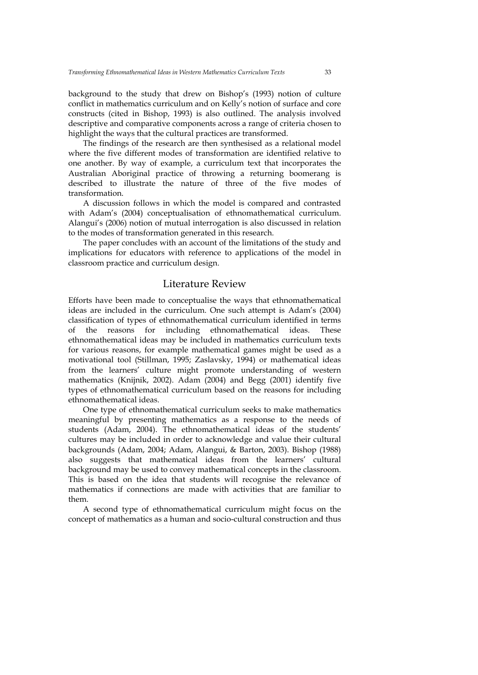background to the study that drew on Bishop's (1993) notion of culture conflict in mathematics curriculum and on Kelly's notion of surface and core constructs (cited in Bishop, 1993) is also outlined. The analysis involved descriptive and comparative components across a range of criteria chosen to highlight the ways that the cultural practices are transformed.

The findings of the research are then synthesised as a relational model where the five different modes of transformation are identified relative to one another. By way of example, a curriculum text that incorporates the Australian Aboriginal practice of throwing a returning boomerang is described to illustrate the nature of three of the five modes of transformation.

A discussion follows in which the model is compared and contrasted with Adam's (2004) conceptualisation of ethnomathematical curriculum. Alangui's (2006) notion of mutual interrogation is also discussed in relation to the modes of transformation generated in this research.

The paper concludes with an account of the limitations of the study and implications for educators with reference to applications of the model in classroom practice and curriculum design.

#### Literature Review

Efforts have been made to conceptualise the ways that ethnomathematical ideas are included in the curriculum. One such attempt is Adam's (2004) classification of types of ethnomathematical curriculum identified in terms of the reasons for including ethnomathematical ideas. These ethnomathematical ideas may be included in mathematics curriculum texts for various reasons, for example mathematical games might be used as a motivational tool (Stillman, 1995; Zaslavsky, 1994) or mathematical ideas from the learners' culture might promote understanding of western mathematics (Knijnik, 2002). Adam (2004) and Begg (2001) identify five types of ethnomathematical curriculum based on the reasons for including ethnomathematical ideas.

One type of ethnomathematical curriculum seeks to make mathematics meaningful by presenting mathematics as a response to the needs of students (Adam, 2004). The ethnomathematical ideas of the students' cultures may be included in order to acknowledge and value their cultural backgrounds (Adam, 2004; Adam, Alangui, & Barton, 2003). Bishop (1988) also suggests that mathematical ideas from the learners' cultural background may be used to convey mathematical concepts in the classroom. This is based on the idea that students will recognise the relevance of mathematics if connections are made with activities that are familiar to them.

A second type of ethnomathematical curriculum might focus on the concept of mathematics as a human and socio-cultural construction and thus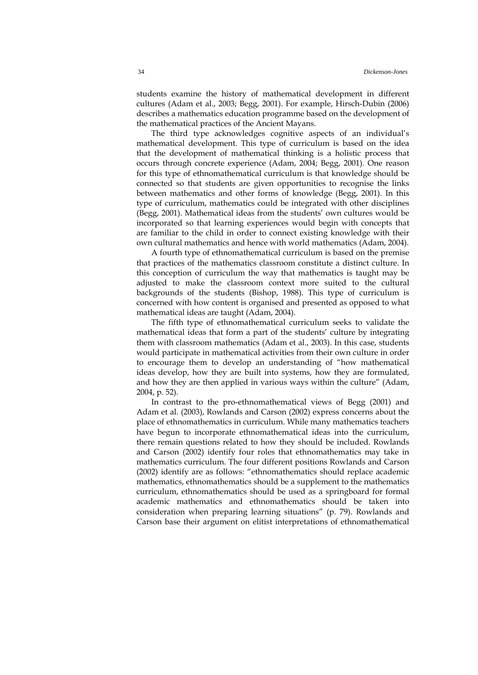students examine the history of mathematical development in different cultures (Adam et al., 2003; Begg, 2001). For example, Hirsch-Dubin (2006) describes a mathematics education programme based on the development of the mathematical practices of the Ancient Mayans.

The third type acknowledges cognitive aspects of an individual's mathematical development. This type of curriculum is based on the idea that the development of mathematical thinking is a holistic process that occurs through concrete experience (Adam, 2004; Begg, 2001). One reason for this type of ethnomathematical curriculum is that knowledge should be connected so that students are given opportunities to recognise the links between mathematics and other forms of knowledge (Begg, 2001). In this type of curriculum, mathematics could be integrated with other disciplines (Begg, 2001). Mathematical ideas from the students' own cultures would be incorporated so that learning experiences would begin with concepts that are familiar to the child in order to connect existing knowledge with their own cultural mathematics and hence with world mathematics (Adam, 2004).

A fourth type of ethnomathematical curriculum is based on the premise that practices of the mathematics classroom constitute a distinct culture. In this conception of curriculum the way that mathematics is taught may be adjusted to make the classroom context more suited to the cultural backgrounds of the students (Bishop, 1988). This type of curriculum is concerned with how content is organised and presented as opposed to what mathematical ideas are taught (Adam, 2004).

The fifth type of ethnomathematical curriculum seeks to validate the mathematical ideas that form a part of the students' culture by integrating them with classroom mathematics (Adam et al., 2003). In this case, students would participate in mathematical activities from their own culture in order to encourage them to develop an understanding of "how mathematical ideas develop, how they are built into systems, how they are formulated, and how they are then applied in various ways within the culture" (Adam, 2004, p. 52).

In contrast to the pro-ethnomathematical views of Begg (2001) and Adam et al. (2003), Rowlands and Carson (2002) express concerns about the place of ethnomathematics in curriculum. While many mathematics teachers have begun to incorporate ethnomathematical ideas into the curriculum, there remain questions related to how they should be included. Rowlands and Carson (2002) identify four roles that ethnomathematics may take in mathematics curriculum. The four different positions Rowlands and Carson (2002) identify are as follows: "ethnomathematics should replace academic mathematics, ethnomathematics should be a supplement to the mathematics curriculum, ethnomathematics should be used as a springboard for formal academic mathematics and ethnomathematics should be taken into consideration when preparing learning situations" (p. 79). Rowlands and Carson base their argument on elitist interpretations of ethnomathematical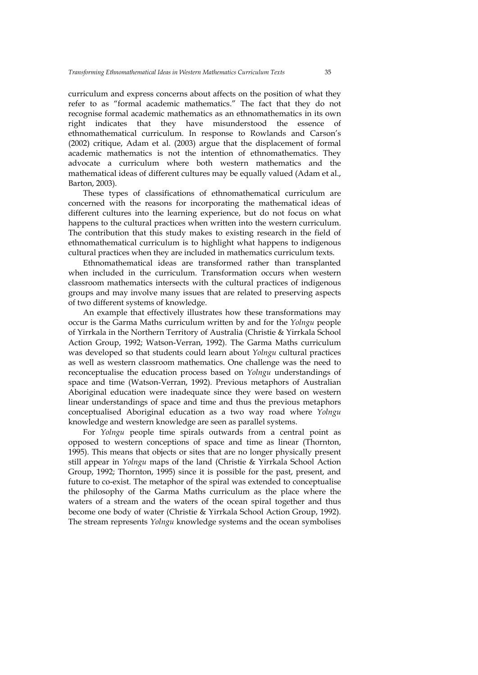curriculum and express concerns about affects on the position of what they refer to as "formal academic mathematics." The fact that they do not recognise formal academic mathematics as an ethnomathematics in its own right indicates that they have misunderstood the essence of ethnomathematical curriculum. In response to Rowlands and Carson's (2002) critique, Adam et al. (2003) argue that the displacement of formal academic mathematics is not the intention of ethnomathematics. They advocate a curriculum where both western mathematics and the mathematical ideas of different cultures may be equally valued (Adam et al., Barton, 2003).

These types of classifications of ethnomathematical curriculum are concerned with the reasons for incorporating the mathematical ideas of different cultures into the learning experience, but do not focus on what happens to the cultural practices when written into the western curriculum. The contribution that this study makes to existing research in the field of ethnomathematical curriculum is to highlight what happens to indigenous cultural practices when they are included in mathematics curriculum texts.

Ethnomathematical ideas are transformed rather than transplanted when included in the curriculum. Transformation occurs when western classroom mathematics intersects with the cultural practices of indigenous groups and may involve many issues that are related to preserving aspects of two different systems of knowledge.

An example that effectively illustrates how these transformations may occur is the Garma Maths curriculum written by and for the *Yolngu* people of Yirrkala in the Northern Territory of Australia (Christie & Yirrkala School Action Group, 1992; Watson-Verran, 1992). The Garma Maths curriculum was developed so that students could learn about *Yolngu* cultural practices as well as western classroom mathematics. One challenge was the need to reconceptualise the education process based on *Yolngu* understandings of space and time (Watson-Verran, 1992). Previous metaphors of Australian Aboriginal education were inadequate since they were based on western linear understandings of space and time and thus the previous metaphors conceptualised Aboriginal education as a two way road where *Yolngu* knowledge and western knowledge are seen as parallel systems.

For *Yolngu* people time spirals outwards from a central point as opposed to western conceptions of space and time as linear (Thornton, 1995). This means that objects or sites that are no longer physically present still appear in *Yolngu* maps of the land (Christie & Yirrkala School Action Group, 1992; Thornton, 1995) since it is possible for the past, present, and future to co-exist. The metaphor of the spiral was extended to conceptualise the philosophy of the Garma Maths curriculum as the place where the waters of a stream and the waters of the ocean spiral together and thus become one body of water (Christie & Yirrkala School Action Group, 1992). The stream represents *Yolngu* knowledge systems and the ocean symbolises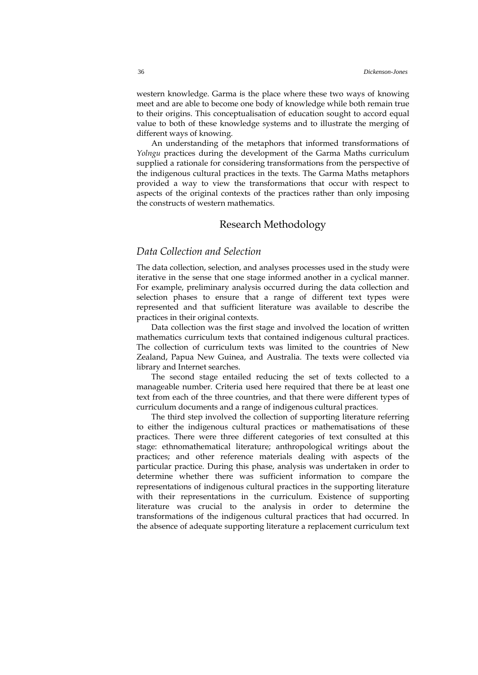western knowledge. Garma is the place where these two ways of knowing meet and are able to become one body of knowledge while both remain true to their origins. This conceptualisation of education sought to accord equal value to both of these knowledge systems and to illustrate the merging of different ways of knowing.

An understanding of the metaphors that informed transformations of *Yolngu* practices during the development of the Garma Maths curriculum supplied a rationale for considering transformations from the perspective of the indigenous cultural practices in the texts. The Garma Maths metaphors provided a way to view the transformations that occur with respect to aspects of the original contexts of the practices rather than only imposing the constructs of western mathematics.

#### Research Methodology

## *Data Collection and Selection*

The data collection, selection, and analyses processes used in the study were iterative in the sense that one stage informed another in a cyclical manner. For example, preliminary analysis occurred during the data collection and selection phases to ensure that a range of different text types were represented and that sufficient literature was available to describe the practices in their original contexts.

Data collection was the first stage and involved the location of written mathematics curriculum texts that contained indigenous cultural practices. The collection of curriculum texts was limited to the countries of New Zealand, Papua New Guinea, and Australia. The texts were collected via library and Internet searches.

The second stage entailed reducing the set of texts collected to a manageable number. Criteria used here required that there be at least one text from each of the three countries, and that there were different types of curriculum documents and a range of indigenous cultural practices.

The third step involved the collection of supporting literature referring to either the indigenous cultural practices or mathematisations of these practices. There were three different categories of text consulted at this stage: ethnomathematical literature; anthropological writings about the practices; and other reference materials dealing with aspects of the particular practice. During this phase, analysis was undertaken in order to determine whether there was sufficient information to compare the representations of indigenous cultural practices in the supporting literature with their representations in the curriculum. Existence of supporting literature was crucial to the analysis in order to determine the transformations of the indigenous cultural practices that had occurred. In the absence of adequate supporting literature a replacement curriculum text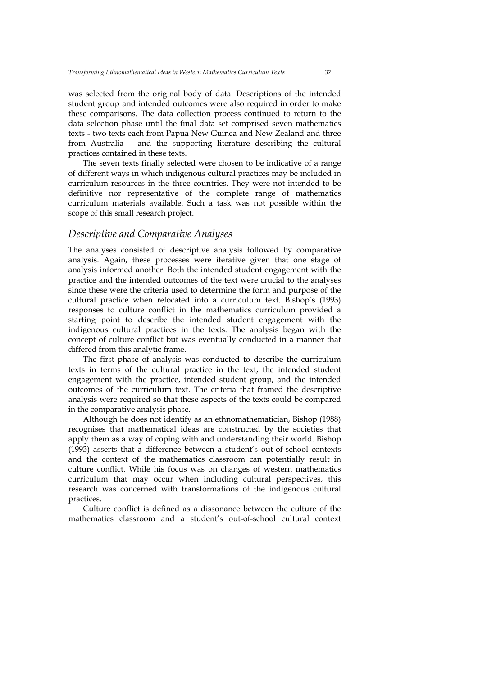was selected from the original body of data. Descriptions of the intended student group and intended outcomes were also required in order to make these comparisons. The data collection process continued to return to the data selection phase until the final data set comprised seven mathematics texts - two texts each from Papua New Guinea and New Zealand and three from Australia – and the supporting literature describing the cultural practices contained in these texts.

The seven texts finally selected were chosen to be indicative of a range of different ways in which indigenous cultural practices may be included in curriculum resources in the three countries. They were not intended to be definitive nor representative of the complete range of mathematics curriculum materials available. Such a task was not possible within the scope of this small research project.

#### *Descriptive and Comparative Analyses*

The analyses consisted of descriptive analysis followed by comparative analysis. Again, these processes were iterative given that one stage of analysis informed another. Both the intended student engagement with the practice and the intended outcomes of the text were crucial to the analyses since these were the criteria used to determine the form and purpose of the cultural practice when relocated into a curriculum text. Bishop's (1993) responses to culture conflict in the mathematics curriculum provided a starting point to describe the intended student engagement with the indigenous cultural practices in the texts. The analysis began with the concept of culture conflict but was eventually conducted in a manner that differed from this analytic frame.

The first phase of analysis was conducted to describe the curriculum texts in terms of the cultural practice in the text, the intended student engagement with the practice, intended student group, and the intended outcomes of the curriculum text. The criteria that framed the descriptive analysis were required so that these aspects of the texts could be compared in the comparative analysis phase.

Although he does not identify as an ethnomathematician, Bishop (1988) recognises that mathematical ideas are constructed by the societies that apply them as a way of coping with and understanding their world. Bishop (1993) asserts that a difference between a student's out-of-school contexts and the context of the mathematics classroom can potentially result in culture conflict. While his focus was on changes of western mathematics curriculum that may occur when including cultural perspectives, this research was concerned with transformations of the indigenous cultural practices.

Culture conflict is defined as a dissonance between the culture of the mathematics classroom and a student's out-of-school cultural context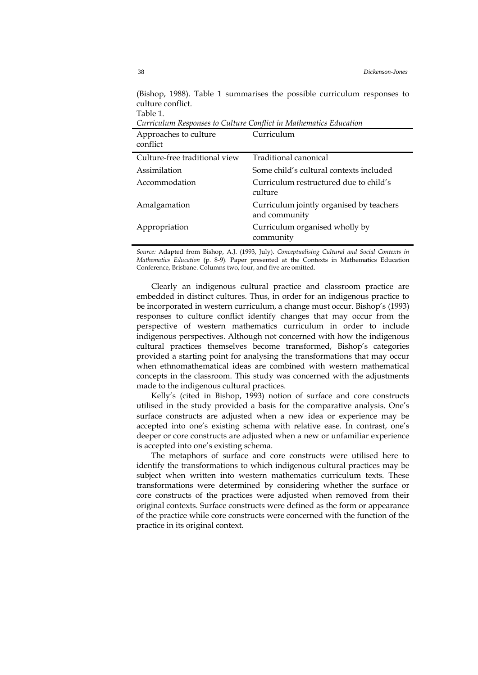| Curriculum Responses to Culture Conflict in Mathematics Education |                                                           |  |
|-------------------------------------------------------------------|-----------------------------------------------------------|--|
| Approaches to culture<br>conflict                                 | Curriculum                                                |  |
| Culture-free traditional view                                     | Traditional canonical                                     |  |
| Assimilation                                                      | Some child's cultural contexts included                   |  |
| Accommodation                                                     | Curriculum restructured due to child's<br>culture         |  |
| Amalgamation                                                      | Curriculum jointly organised by teachers<br>and community |  |
| Appropriation                                                     | Curriculum organised wholly by<br>community               |  |

(Bishop, 1988). Table 1 summarises the possible curriculum responses to culture conflict. Table 1.

*Source:* Adapted from Bishop, A.J. (1993, July). *Conceptualising Cultural and Social Contexts in Mathematics Education* (p. 8-9)*.* Paper presented at the Contexts in Mathematics Education Conference, Brisbane. Columns two, four, and five are omitted.

Clearly an indigenous cultural practice and classroom practice are embedded in distinct cultures. Thus, in order for an indigenous practice to be incorporated in western curriculum, a change must occur. Bishop's (1993) responses to culture conflict identify changes that may occur from the perspective of western mathematics curriculum in order to include indigenous perspectives. Although not concerned with how the indigenous cultural practices themselves become transformed, Bishop's categories provided a starting point for analysing the transformations that may occur when ethnomathematical ideas are combined with western mathematical concepts in the classroom. This study was concerned with the adjustments made to the indigenous cultural practices.

Kelly's (cited in Bishop, 1993) notion of surface and core constructs utilised in the study provided a basis for the comparative analysis. One's surface constructs are adjusted when a new idea or experience may be accepted into one's existing schema with relative ease. In contrast, one's deeper or core constructs are adjusted when a new or unfamiliar experience is accepted into one's existing schema.

The metaphors of surface and core constructs were utilised here to identify the transformations to which indigenous cultural practices may be subject when written into western mathematics curriculum texts. These transformations were determined by considering whether the surface or core constructs of the practices were adjusted when removed from their original contexts. Surface constructs were defined as the form or appearance of the practice while core constructs were concerned with the function of the practice in its original context.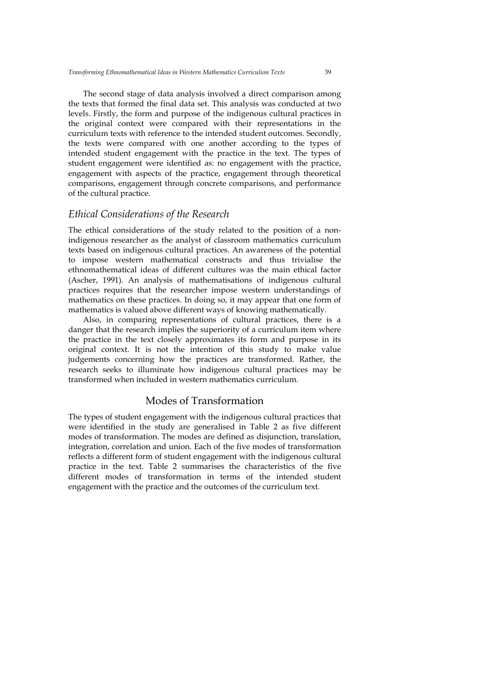The second stage of data analysis involved a direct comparison among the texts that formed the final data set. This analysis was conducted at two levels. Firstly, the form and purpose of the indigenous cultural practices in the original context were compared with their representations in the curriculum texts with reference to the intended student outcomes. Secondly, the texts were compared with one another according to the types of intended student engagement with the practice in the text. The types of student engagement were identified as: no engagement with the practice, engagement with aspects of the practice, engagement through theoretical comparisons, engagement through concrete comparisons, and performance of the cultural practice.

#### *Ethical Considerations of the Research*

The ethical considerations of the study related to the position of a nonindigenous researcher as the analyst of classroom mathematics curriculum texts based on indigenous cultural practices. An awareness of the potential to impose western mathematical constructs and thus trivialise the ethnomathematical ideas of different cultures was the main ethical factor (Ascher, 1991). An analysis of mathematisations of indigenous cultural practices requires that the researcher impose western understandings of mathematics on these practices. In doing so, it may appear that one form of mathematics is valued above different ways of knowing mathematically.

Also, in comparing representations of cultural practices, there is a danger that the research implies the superiority of a curriculum item where the practice in the text closely approximates its form and purpose in its original context. It is not the intention of this study to make value judgements concerning how the practices are transformed. Rather, the research seeks to illuminate how indigenous cultural practices may be transformed when included in western mathematics curriculum.

## Modes of Transformation

The types of student engagement with the indigenous cultural practices that were identified in the study are generalised in Table 2 as five different modes of transformation. The modes are defined as disjunction, translation, integration, correlation and union. Each of the five modes of transformation reflects a different form of student engagement with the indigenous cultural practice in the text. Table 2 summarises the characteristics of the five different modes of transformation in terms of the intended student engagement with the practice and the outcomes of the curriculum text.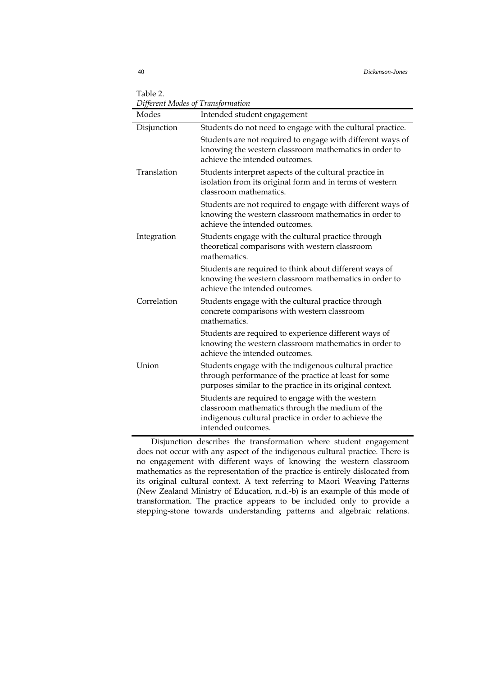Table 2. *Different Modes of Transformation*

| Dyjerent ividuce o<br>Modes | 1 <i>ransjormation</i><br>Intended student engagement                                                                                                                             |
|-----------------------------|-----------------------------------------------------------------------------------------------------------------------------------------------------------------------------------|
| Disjunction                 | Students do not need to engage with the cultural practice.                                                                                                                        |
|                             | Students are not required to engage with different ways of<br>knowing the western classroom mathematics in order to<br>achieve the intended outcomes.                             |
| Translation                 | Students interpret aspects of the cultural practice in<br>isolation from its original form and in terms of western<br>classroom mathematics.                                      |
|                             | Students are not required to engage with different ways of<br>knowing the western classroom mathematics in order to<br>achieve the intended outcomes.                             |
| Integration                 | Students engage with the cultural practice through<br>theoretical comparisons with western classroom<br>mathematics.                                                              |
|                             | Students are required to think about different ways of<br>knowing the western classroom mathematics in order to<br>achieve the intended outcomes.                                 |
| Correlation                 | Students engage with the cultural practice through<br>concrete comparisons with western classroom<br>mathematics.                                                                 |
|                             | Students are required to experience different ways of<br>knowing the western classroom mathematics in order to<br>achieve the intended outcomes.                                  |
| Union                       | Students engage with the indigenous cultural practice<br>through performance of the practice at least for some<br>purposes similar to the practice in its original context.       |
|                             | Students are required to engage with the western<br>classroom mathematics through the medium of the<br>indigenous cultural practice in order to achieve the<br>intended outcomes. |

Disjunction describes the transformation where student engagement does not occur with any aspect of the indigenous cultural practice. There is no engagement with different ways of knowing the western classroom mathematics as the representation of the practice is entirely dislocated from its original cultural context. A text referring to Maori Weaving Patterns (New Zealand Ministry of Education, n.d.-b) is an example of this mode of transformation. The practice appears to be included only to provide a stepping-stone towards understanding patterns and algebraic relations.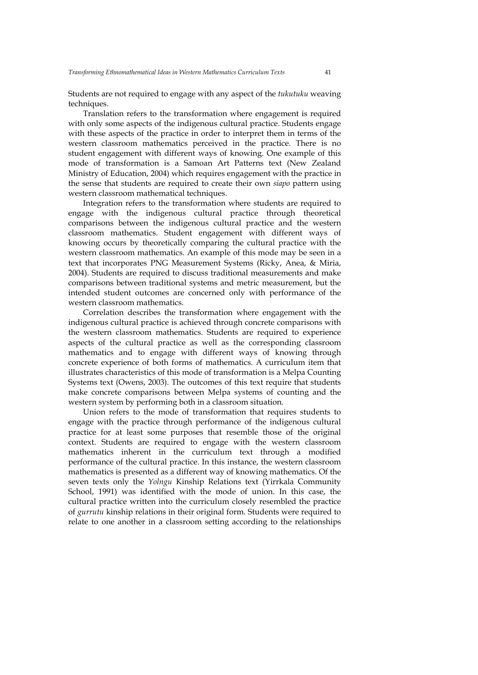Students are not required to engage with any aspect of the *tukutuku* weaving techniques.

Translation refers to the transformation where engagement is required with only some aspects of the indigenous cultural practice. Students engage with these aspects of the practice in order to interpret them in terms of the western classroom mathematics perceived in the practice. There is no student engagement with different ways of knowing. One example of this mode of transformation is a Samoan Art Patterns text (New Zealand Ministry of Education, 2004) which requires engagement with the practice in the sense that students are required to create their own *siapo* pattern using western classroom mathematical techniques.

Integration refers to the transformation where students are required to engage with the indigenous cultural practice through theoretical comparisons between the indigenous cultural practice and the western classroom mathematics. Student engagement with different ways of knowing occurs by theoretically comparing the cultural practice with the western classroom mathematics. An example of this mode may be seen in a text that incorporates PNG Measurement Systems (Ricky, Anea, & Miria, 2004). Students are required to discuss traditional measurements and make comparisons between traditional systems and metric measurement, but the intended student outcomes are concerned only with performance of the western classroom mathematics.

Correlation describes the transformation where engagement with the indigenous cultural practice is achieved through concrete comparisons with the western classroom mathematics. Students are required to experience aspects of the cultural practice as well as the corresponding classroom mathematics and to engage with different ways of knowing through concrete experience of both forms of mathematics. A curriculum item that illustrates characteristics of this mode of transformation is a Melpa Counting Systems text (Owens, 2003). The outcomes of this text require that students make concrete comparisons between Melpa systems of counting and the western system by performing both in a classroom situation.

Union refers to the mode of transformation that requires students to engage with the practice through performance of the indigenous cultural practice for at least some purposes that resemble those of the original context. Students are required to engage with the western classroom mathematics inherent in the curriculum text through a modified performance of the cultural practice. In this instance, the western classroom mathematics is presented as a different way of knowing mathematics. Of the seven texts only the *Yolngu* Kinship Relations text (Yirrkala Community School, 1991) was identified with the mode of union. In this case, the cultural practice written into the curriculum closely resembled the practice of *gurrutu* kinship relations in their original form. Students were required to relate to one another in a classroom setting according to the relationships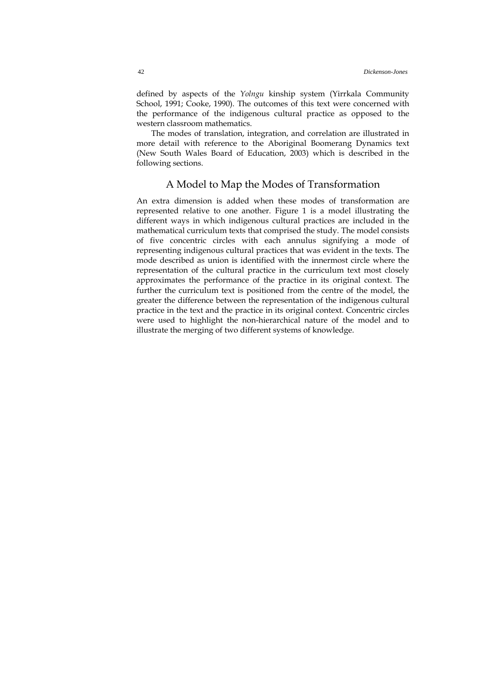defined by aspects of the *Yolngu* kinship system (Yirrkala Community School, 1991; Cooke, 1990). The outcomes of this text were concerned with the performance of the indigenous cultural practice as opposed to the western classroom mathematics.

The modes of translation, integration, and correlation are illustrated in more detail with reference to the Aboriginal Boomerang Dynamics text (New South Wales Board of Education, 2003) which is described in the following sections.

#### A Model to Map the Modes of Transformation

An extra dimension is added when these modes of transformation are represented relative to one another. Figure 1 is a model illustrating the different ways in which indigenous cultural practices are included in the mathematical curriculum texts that comprised the study. The model consists of five concentric circles with each annulus signifying a mode of representing indigenous cultural practices that was evident in the texts. The mode described as union is identified with the innermost circle where the representation of the cultural practice in the curriculum text most closely approximates the performance of the practice in its original context. The further the curriculum text is positioned from the centre of the model, the greater the difference between the representation of the indigenous cultural practice in the text and the practice in its original context. Concentric circles were used to highlight the non-hierarchical nature of the model and to illustrate the merging of two different systems of knowledge.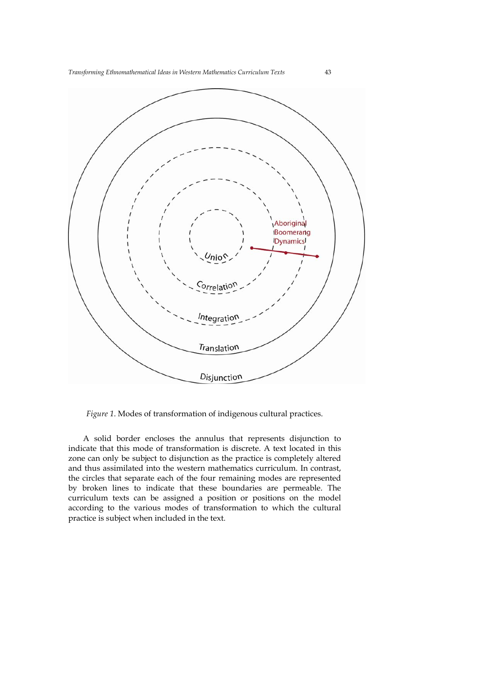

*Figure 1*. Modes of transformation of indigenous cultural practices.

A solid border encloses the annulus that represents disjunction to indicate that this mode of transformation is discrete. A text located in this zone can only be subject to disjunction as the practice is completely altered and thus assimilated into the western mathematics curriculum. In contrast, the circles that separate each of the four remaining modes are represented by broken lines to indicate that these boundaries are permeable. The curriculum texts can be assigned a position or positions on the model according to the various modes of transformation to which the cultural practice is subject when included in the text.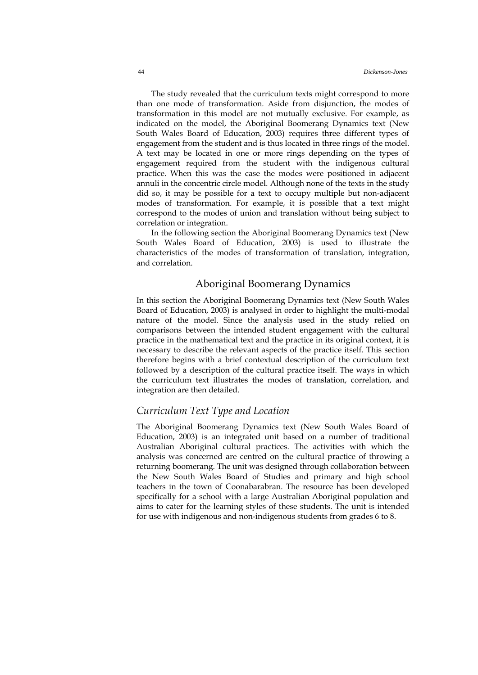The study revealed that the curriculum texts might correspond to more than one mode of transformation. Aside from disjunction, the modes of transformation in this model are not mutually exclusive. For example, as indicated on the model, the Aboriginal Boomerang Dynamics text (New South Wales Board of Education, 2003) requires three different types of engagement from the student and is thus located in three rings of the model. A text may be located in one or more rings depending on the types of engagement required from the student with the indigenous cultural practice. When this was the case the modes were positioned in adjacent annuli in the concentric circle model. Although none of the texts in the study did so, it may be possible for a text to occupy multiple but non-adjacent modes of transformation. For example, it is possible that a text might correspond to the modes of union and translation without being subject to correlation or integration.

In the following section the Aboriginal Boomerang Dynamics text (New South Wales Board of Education, 2003) is used to illustrate the characteristics of the modes of transformation of translation, integration, and correlation.

#### Aboriginal Boomerang Dynamics

In this section the Aboriginal Boomerang Dynamics text (New South Wales Board of Education, 2003) is analysed in order to highlight the multi-modal nature of the model. Since the analysis used in the study relied on comparisons between the intended student engagement with the cultural practice in the mathematical text and the practice in its original context, it is necessary to describe the relevant aspects of the practice itself. This section therefore begins with a brief contextual description of the curriculum text followed by a description of the cultural practice itself. The ways in which the curriculum text illustrates the modes of translation, correlation, and integration are then detailed.

#### *Curriculum Text Type and Location*

The Aboriginal Boomerang Dynamics text (New South Wales Board of Education, 2003) is an integrated unit based on a number of traditional Australian Aboriginal cultural practices. The activities with which the analysis was concerned are centred on the cultural practice of throwing a returning boomerang. The unit was designed through collaboration between the New South Wales Board of Studies and primary and high school teachers in the town of Coonabarabran. The resource has been developed specifically for a school with a large Australian Aboriginal population and aims to cater for the learning styles of these students. The unit is intended for use with indigenous and non-indigenous students from grades 6 to 8.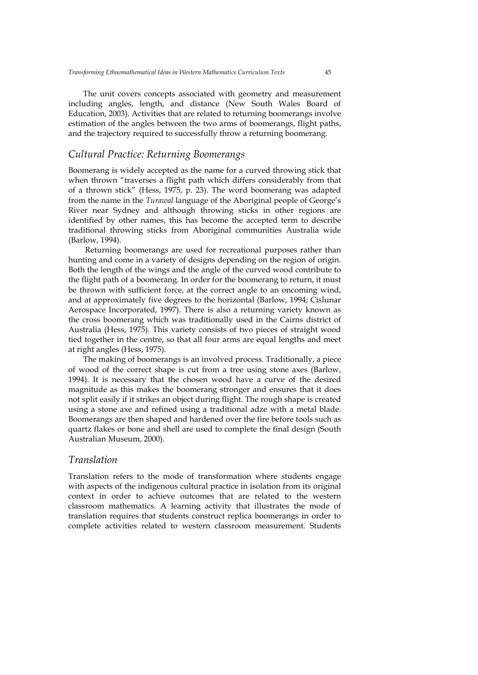The unit covers concepts associated with geometry and measurement including angles, length, and distance (New South Wales Board of Education, 2003). Activities that are related to returning boomerangs involve estimation of the angles between the two arms of boomerangs, flight paths, and the trajectory required to successfully throw a returning boomerang.

#### *Cultural Practice: Returning Boomerangs*

Boomerang is widely accepted as the name for a curved throwing stick that when thrown "traverses a flight path which differs considerably from that of a thrown stick" (Hess, 1975, p. 23). The word boomerang was adapted from the name in the *Turawal* language of the Aboriginal people of George's River near Sydney and although throwing sticks in other regions are identified by other names, this has become the accepted term to describe traditional throwing sticks from Aboriginal communities Australia wide (Barlow, 1994).

 Returning boomerangs are used for recreational purposes rather than hunting and come in a variety of designs depending on the region of origin. Both the length of the wings and the angle of the curved wood contribute to the flight path of a boomerang. In order for the boomerang to return, it must be thrown with sufficient force, at the correct angle to an oncoming wind, and at approximately five degrees to the horizontal (Barlow, 1994; Cislunar Aerospace Incorporated, 1997). There is also a returning variety known as the cross boomerang which was traditionally used in the Cairns district of Australia (Hess, 1975). This variety consists of two pieces of straight wood tied together in the centre, so that all four arms are equal lengths and meet at right angles (Hess, 1975).

The making of boomerangs is an involved process. Traditionally, a piece of wood of the correct shape is cut from a tree using stone axes (Barlow, 1994). It is necessary that the chosen wood have a curve of the desired magnitude as this makes the boomerang stronger and ensures that it does not split easily if it strikes an object during flight. The rough shape is created using a stone axe and refined using a traditional adze with a metal blade. Boomerangs are then shaped and hardened over the fire before tools such as quartz flakes or bone and shell are used to complete the final design (South Australian Museum, 2000).

### *Translation*

Translation refers to the mode of transformation where students engage with aspects of the indigenous cultural practice in isolation from its original context in order to achieve outcomes that are related to the western classroom mathematics. A learning activity that illustrates the mode of translation requires that students construct replica boomerangs in order to complete activities related to western classroom measurement. Students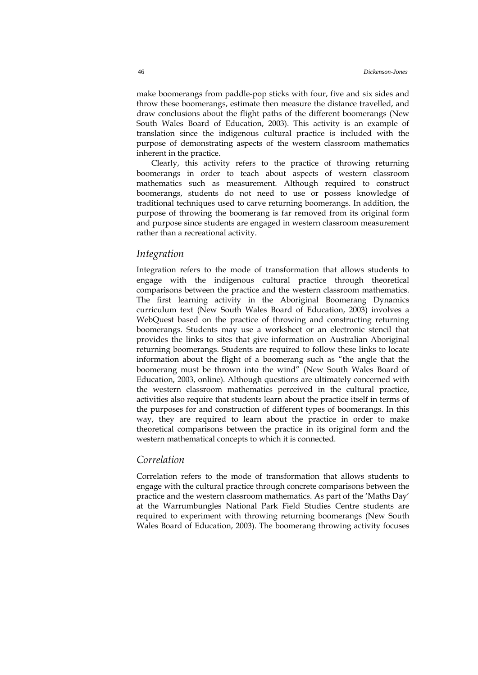make boomerangs from paddle-pop sticks with four, five and six sides and throw these boomerangs, estimate then measure the distance travelled, and draw conclusions about the flight paths of the different boomerangs (New South Wales Board of Education, 2003). This activity is an example of translation since the indigenous cultural practice is included with the purpose of demonstrating aspects of the western classroom mathematics inherent in the practice.

Clearly, this activity refers to the practice of throwing returning boomerangs in order to teach about aspects of western classroom mathematics such as measurement. Although required to construct boomerangs, students do not need to use or possess knowledge of traditional techniques used to carve returning boomerangs. In addition, the purpose of throwing the boomerang is far removed from its original form and purpose since students are engaged in western classroom measurement rather than a recreational activity.

#### *Integration*

Integration refers to the mode of transformation that allows students to engage with the indigenous cultural practice through theoretical comparisons between the practice and the western classroom mathematics. The first learning activity in the Aboriginal Boomerang Dynamics curriculum text (New South Wales Board of Education, 2003) involves a WebQuest based on the practice of throwing and constructing returning boomerangs. Students may use a worksheet or an electronic stencil that provides the links to sites that give information on Australian Aboriginal returning boomerangs. Students are required to follow these links to locate information about the flight of a boomerang such as "the angle that the boomerang must be thrown into the wind" (New South Wales Board of Education, 2003, online). Although questions are ultimately concerned with the western classroom mathematics perceived in the cultural practice, activities also require that students learn about the practice itself in terms of the purposes for and construction of different types of boomerangs. In this way, they are required to learn about the practice in order to make theoretical comparisons between the practice in its original form and the western mathematical concepts to which it is connected.

### *Correlation*

Correlation refers to the mode of transformation that allows students to engage with the cultural practice through concrete comparisons between the practice and the western classroom mathematics. As part of the 'Maths Day' at the Warrumbungles National Park Field Studies Centre students are required to experiment with throwing returning boomerangs (New South Wales Board of Education, 2003). The boomerang throwing activity focuses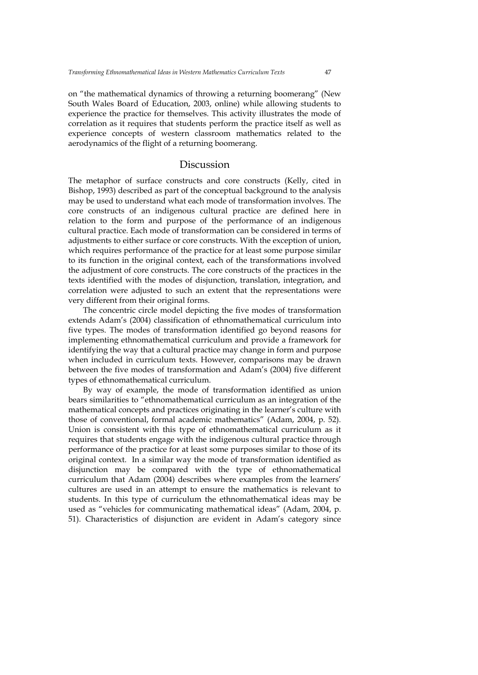on "the mathematical dynamics of throwing a returning boomerang" (New South Wales Board of Education, 2003, online) while allowing students to experience the practice for themselves. This activity illustrates the mode of correlation as it requires that students perform the practice itself as well as experience concepts of western classroom mathematics related to the aerodynamics of the flight of a returning boomerang.

## Discussion

The metaphor of surface constructs and core constructs (Kelly, cited in Bishop, 1993) described as part of the conceptual background to the analysis may be used to understand what each mode of transformation involves. The core constructs of an indigenous cultural practice are defined here in relation to the form and purpose of the performance of an indigenous cultural practice. Each mode of transformation can be considered in terms of adjustments to either surface or core constructs. With the exception of union, which requires performance of the practice for at least some purpose similar to its function in the original context, each of the transformations involved the adjustment of core constructs. The core constructs of the practices in the texts identified with the modes of disjunction, translation, integration, and correlation were adjusted to such an extent that the representations were very different from their original forms.

The concentric circle model depicting the five modes of transformation extends Adam's (2004) classification of ethnomathematical curriculum into five types. The modes of transformation identified go beyond reasons for implementing ethnomathematical curriculum and provide a framework for identifying the way that a cultural practice may change in form and purpose when included in curriculum texts. However, comparisons may be drawn between the five modes of transformation and Adam's (2004) five different types of ethnomathematical curriculum.

By way of example, the mode of transformation identified as union bears similarities to "ethnomathematical curriculum as an integration of the mathematical concepts and practices originating in the learner's culture with those of conventional, formal academic mathematics" (Adam, 2004, p. 52). Union is consistent with this type of ethnomathematical curriculum as it requires that students engage with the indigenous cultural practice through performance of the practice for at least some purposes similar to those of its original context. In a similar way the mode of transformation identified as disjunction may be compared with the type of ethnomathematical curriculum that Adam (2004) describes where examples from the learners' cultures are used in an attempt to ensure the mathematics is relevant to students. In this type of curriculum the ethnomathematical ideas may be used as "vehicles for communicating mathematical ideas" (Adam, 2004, p. 51). Characteristics of disjunction are evident in Adam's category since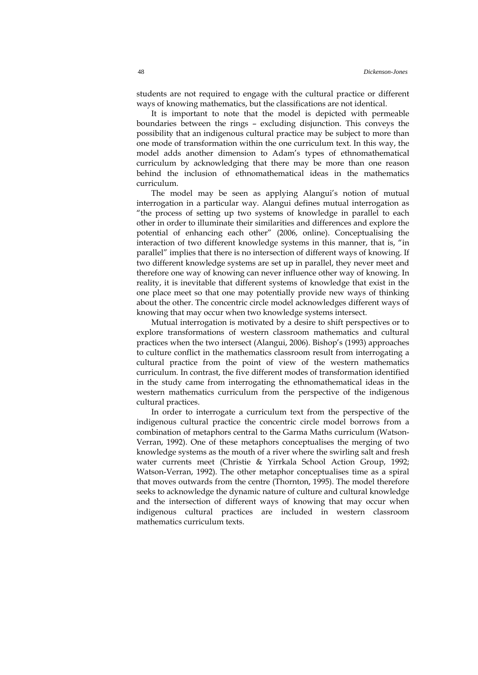students are not required to engage with the cultural practice or different ways of knowing mathematics, but the classifications are not identical.

It is important to note that the model is depicted with permeable boundaries between the rings – excluding disjunction. This conveys the possibility that an indigenous cultural practice may be subject to more than one mode of transformation within the one curriculum text. In this way, the model adds another dimension to Adam's types of ethnomathematical curriculum by acknowledging that there may be more than one reason behind the inclusion of ethnomathematical ideas in the mathematics curriculum.

The model may be seen as applying Alangui's notion of mutual interrogation in a particular way. Alangui defines mutual interrogation as "the process of setting up two systems of knowledge in parallel to each other in order to illuminate their similarities and differences and explore the potential of enhancing each other" (2006, online). Conceptualising the interaction of two different knowledge systems in this manner, that is, "in parallel" implies that there is no intersection of different ways of knowing. If two different knowledge systems are set up in parallel, they never meet and therefore one way of knowing can never influence other way of knowing. In reality, it is inevitable that different systems of knowledge that exist in the one place meet so that one may potentially provide new ways of thinking about the other. The concentric circle model acknowledges different ways of knowing that may occur when two knowledge systems intersect.

Mutual interrogation is motivated by a desire to shift perspectives or to explore transformations of western classroom mathematics and cultural practices when the two intersect (Alangui, 2006). Bishop's (1993) approaches to culture conflict in the mathematics classroom result from interrogating a cultural practice from the point of view of the western mathematics curriculum. In contrast, the five different modes of transformation identified in the study came from interrogating the ethnomathematical ideas in the western mathematics curriculum from the perspective of the indigenous cultural practices.

In order to interrogate a curriculum text from the perspective of the indigenous cultural practice the concentric circle model borrows from a combination of metaphors central to the Garma Maths curriculum (Watson-Verran, 1992). One of these metaphors conceptualises the merging of two knowledge systems as the mouth of a river where the swirling salt and fresh water currents meet (Christie & Yirrkala School Action Group, 1992; Watson-Verran, 1992). The other metaphor conceptualises time as a spiral that moves outwards from the centre (Thornton, 1995). The model therefore seeks to acknowledge the dynamic nature of culture and cultural knowledge and the intersection of different ways of knowing that may occur when indigenous cultural practices are included in western classroom mathematics curriculum texts.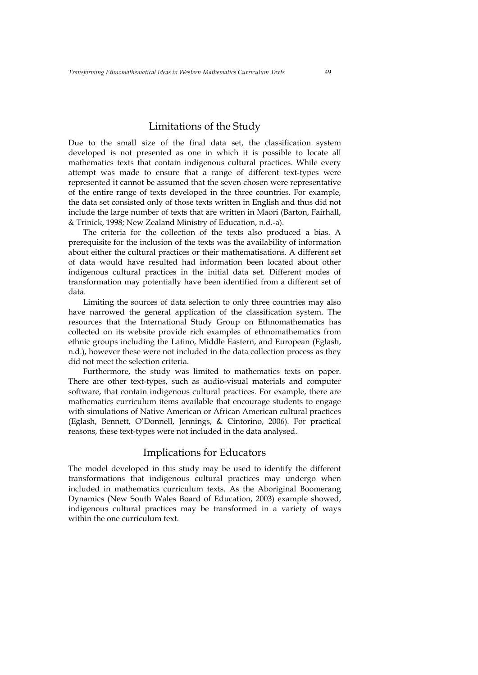## Limitations of the Study

Due to the small size of the final data set, the classification system developed is not presented as one in which it is possible to locate all mathematics texts that contain indigenous cultural practices. While every attempt was made to ensure that a range of different text-types were represented it cannot be assumed that the seven chosen were representative of the entire range of texts developed in the three countries. For example, the data set consisted only of those texts written in English and thus did not include the large number of texts that are written in Maori (Barton, Fairhall, & Trinick, 1998; New Zealand Ministry of Education, n.d.-a).

The criteria for the collection of the texts also produced a bias. A prerequisite for the inclusion of the texts was the availability of information about either the cultural practices or their mathematisations. A different set of data would have resulted had information been located about other indigenous cultural practices in the initial data set. Different modes of transformation may potentially have been identified from a different set of data.

Limiting the sources of data selection to only three countries may also have narrowed the general application of the classification system. The resources that the International Study Group on Ethnomathematics has collected on its website provide rich examples of ethnomathematics from ethnic groups including the Latino, Middle Eastern, and European (Eglash, n.d.), however these were not included in the data collection process as they did not meet the selection criteria.

Furthermore, the study was limited to mathematics texts on paper. There are other text-types, such as audio-visual materials and computer software, that contain indigenous cultural practices. For example, there are mathematics curriculum items available that encourage students to engage with simulations of Native American or African American cultural practices (Eglash, Bennett, O'Donnell, Jennings, & Cintorino, 2006). For practical reasons, these text-types were not included in the data analysed.

## Implications for Educators

The model developed in this study may be used to identify the different transformations that indigenous cultural practices may undergo when included in mathematics curriculum texts. As the Aboriginal Boomerang Dynamics (New South Wales Board of Education, 2003) example showed, indigenous cultural practices may be transformed in a variety of ways within the one curriculum text.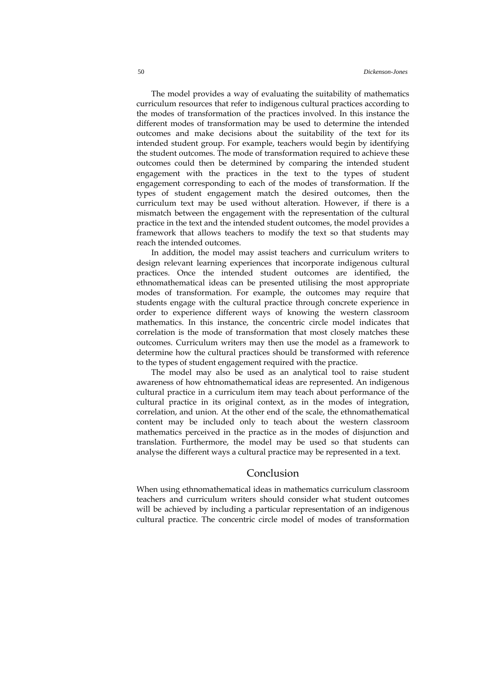The model provides a way of evaluating the suitability of mathematics curriculum resources that refer to indigenous cultural practices according to the modes of transformation of the practices involved. In this instance the different modes of transformation may be used to determine the intended outcomes and make decisions about the suitability of the text for its intended student group. For example, teachers would begin by identifying the student outcomes. The mode of transformation required to achieve these outcomes could then be determined by comparing the intended student engagement with the practices in the text to the types of student engagement corresponding to each of the modes of transformation. If the types of student engagement match the desired outcomes, then the curriculum text may be used without alteration. However, if there is a mismatch between the engagement with the representation of the cultural practice in the text and the intended student outcomes, the model provides a framework that allows teachers to modify the text so that students may reach the intended outcomes.

In addition, the model may assist teachers and curriculum writers to design relevant learning experiences that incorporate indigenous cultural practices. Once the intended student outcomes are identified, the ethnomathematical ideas can be presented utilising the most appropriate modes of transformation. For example, the outcomes may require that students engage with the cultural practice through concrete experience in order to experience different ways of knowing the western classroom mathematics. In this instance, the concentric circle model indicates that correlation is the mode of transformation that most closely matches these outcomes. Curriculum writers may then use the model as a framework to determine how the cultural practices should be transformed with reference to the types of student engagement required with the practice.

The model may also be used as an analytical tool to raise student awareness of how ehtnomathematical ideas are represented. An indigenous cultural practice in a curriculum item may teach about performance of the cultural practice in its original context, as in the modes of integration, correlation, and union. At the other end of the scale, the ethnomathematical content may be included only to teach about the western classroom mathematics perceived in the practice as in the modes of disjunction and translation. Furthermore, the model may be used so that students can analyse the different ways a cultural practice may be represented in a text.

#### Conclusion

When using ethnomathematical ideas in mathematics curriculum classroom teachers and curriculum writers should consider what student outcomes will be achieved by including a particular representation of an indigenous cultural practice. The concentric circle model of modes of transformation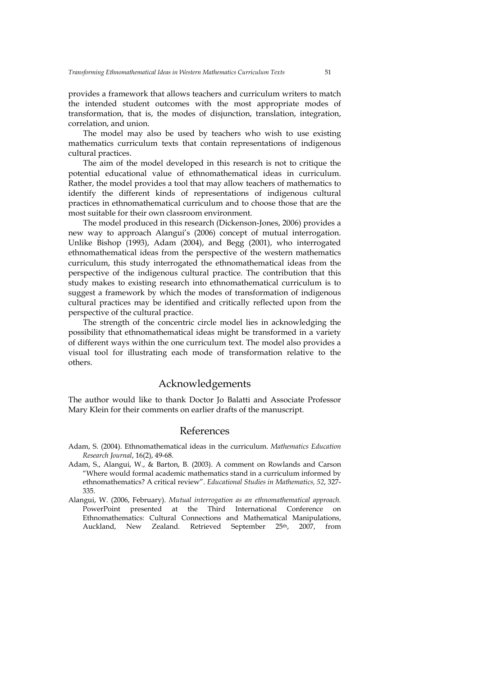provides a framework that allows teachers and curriculum writers to match the intended student outcomes with the most appropriate modes of transformation, that is, the modes of disjunction, translation, integration, correlation, and union.

The model may also be used by teachers who wish to use existing mathematics curriculum texts that contain representations of indigenous cultural practices.

The aim of the model developed in this research is not to critique the potential educational value of ethnomathematical ideas in curriculum. Rather, the model provides a tool that may allow teachers of mathematics to identify the different kinds of representations of indigenous cultural practices in ethnomathematical curriculum and to choose those that are the most suitable for their own classroom environment.

The model produced in this research (Dickenson-Jones, 2006) provides a new way to approach Alangui's (2006) concept of mutual interrogation. Unlike Bishop (1993), Adam (2004), and Begg (2001), who interrogated ethnomathematical ideas from the perspective of the western mathematics curriculum, this study interrogated the ethnomathematical ideas from the perspective of the indigenous cultural practice. The contribution that this study makes to existing research into ethnomathematical curriculum is to suggest a framework by which the modes of transformation of indigenous cultural practices may be identified and critically reflected upon from the perspective of the cultural practice.

The strength of the concentric circle model lies in acknowledging the possibility that ethnomathematical ideas might be transformed in a variety of different ways within the one curriculum text. The model also provides a visual tool for illustrating each mode of transformation relative to the others.

## Acknowledgements

The author would like to thank Doctor Jo Balatti and Associate Professor Mary Klein for their comments on earlier drafts of the manuscript.

#### References

- Adam, S. (2004). Ethnomathematical ideas in the curriculum. *Mathematics Education Research Journal*, 16(2), 49-68.
- Adam, S., Alangui, W., & Barton, B. (2003). A comment on Rowlands and Carson "Where would formal academic mathematics stand in a curriculum informed by ethnomathematics? A critical review". *Educational Studies in Mathematics, 52*, 327- 335.
- Alangui, W. (2006, February). *Mutual interrogation as an ethnomathematical approach.* PowerPoint presented at the Third International Conference on Ethnomathematics: Cultural Connections and Mathematical Manipulations, Auckland, New Zealand. Retrieved September 25<sup>th</sup>, 2007, from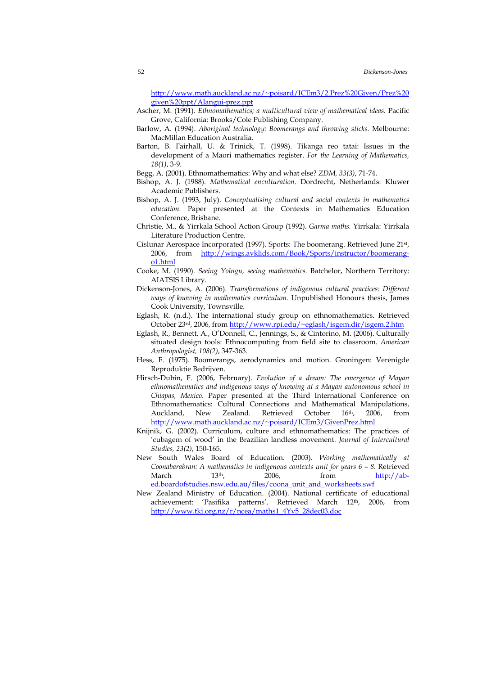[http://www.math.auckland.ac.nz/~poisard/ICEm3/2.Prez%20Given/Prez%20](http://www.math.auckland.ac.nz/%7Epoisard/ICEm3/2.Prez%20Given/Prez%20given%20ppt/Alangui-prez.ppt) [given%20ppt/Alangui-prez.ppt](http://www.math.auckland.ac.nz/%7Epoisard/ICEm3/2.Prez%20Given/Prez%20given%20ppt/Alangui-prez.ppt)

- Ascher, M. (1991). *Ethnomathematics; a multicultural view of mathematical ideas.* Pacific Grove, California: Brooks/Cole Publishing Company.
- Barlow, A. (1994). *Aboriginal technology: Boomerangs and throwing sticks.* Melbourne: MacMillan Education Australia.
- Barton, B. Fairhall, U. & Trinick, T. (1998). Tikanga reo tatai: Issues in the development of a Maori mathematics register. *For the Learning of Mathematics, 18(1)*, 3-9.
- Begg, A. (2001). Ethnomathematics: Why and what else? *ZDM, 33(3)*, 71-74.
- Bishop, A. J. (1988). *Mathematical enculturation*. Dordrecht, Netherlands: Kluwer Academic Publishers.
- Bishop, A. J. (1993, July). *Conceptualising cultural and social contexts in mathematics education.* Paper presented at the Contexts in Mathematics Education Conference, Brisbane.
- Christie, M., & Yirrkala School Action Group (1992). *Garma maths.* Yirrkala: Yirrkala Literature Production Centre.
- Cislunar Aerospace Incorporated (1997). Sports: The boomerang. Retrieved June 21st, 2006, from [http://wings.avklids.com/Book/Sports/instructor/boomerang](http://wings.avklids.com/Book/Sports/instructor/boomerang-o1.html)[o1.html](http://wings.avklids.com/Book/Sports/instructor/boomerang-o1.html)
- Cooke, M. (1990). *Seeing Yolngu, seeing mathematics.* Batchelor, Northern Territory: AIATSIS Library.
- Dickenson-Jones, A. (2006). *Transformations of indigenous cultural practices: Different ways of knowing in mathematics curriculum.* Unpublished Honours thesis, James Cook University, Townsville.
- Eglash, R. (n.d.). The international study group on ethnomathematics. Retrieved October 23<sup>rd</sup>, 2006, from [http://www.rpi.edu/~eglash/isgem.dir/isgem.2.htm](http://www.rpi.edu/%7Eeglash/isgem.dir/isgem.2.htm)
- Eglash, R., Bennett, A., O'Donnell, C., Jennings, S., & Cintorino, M. (2006). Culturally situated design tools: Ethnocomputing from field site to classroom. *American Anthropologist, 108(2)*, 347-363.
- Hess, F. (1975). Boomerangs, aerodynamics and motion. Groningen: Verenigde Reproduktie Bedrijven.
- Hirsch-Dubin, F. (2006, February). *Evolution of a dream: The emergence of Mayan ethnomathematics and indigenous ways of knowing at a Mayan autonomous school in Chiapas, Mexico.* Paper presented at the Third International Conference on Ethnomathematics: Cultural Connections and Mathematical Manipulations, Auckland, New Zealand. Retrieved October 16th, 2006, from [http://www.math.auckland.ac.nz/~poisard/ICEm3/GivenPrez.html](http://www.math.auckland.ac.nz/%7Epoisard/ICEm3/GivenPrez.html)
- Knijnik, G. (2002). Curriculum, culture and ethnomathematics: The practices of 'cubagem of wood' in the Brazilian landless movement. *Journal of Intercultural Studies, 23(2)*, 150-165.
- New South Wales Board of Education. (2003). *Working mathematically at Coonabarabran: A mathematics in indigenous contexts unit for years 6 – 8. Retrieved*<br>March 13<sup>th</sup>, 2006, from http://ab-March 13th, 2006, from [http://ab](http://ab-ed.boardofstudies.nsw.edu.au/files/coona_unit_and_worksheets.swf)[ed.boardofstudies.nsw.edu.au/files/coona\\_unit\\_and\\_worksheets.swf](http://ab-ed.boardofstudies.nsw.edu.au/files/coona_unit_and_worksheets.swf)
- New Zealand Ministry of Education. (2004). National certificate of educational achievement: 'Pasifika patterns'. Retrieved March 12th, 2006, from [http://www.tki.org.nz/r/ncea/maths1\\_4Yv5\\_28dec03.doc](http://www.tki.org.nz/r/ncea/maths1_4Yv5_28dec03.doc)